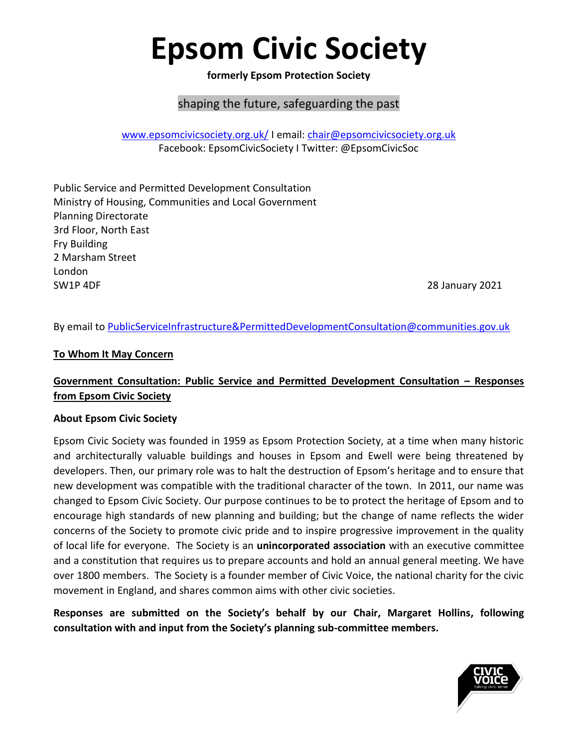# **Epsom Civic Society**

**formerly Epsom Protection Society**

## shaping the future, safeguarding the past

[www.epsomcivicsociety.org.uk/](http://www.epsomcivicsociety.org.uk/) I email: [chair@epsomcivicsociety.org.uk](mailto:chairman@epsomcivicsociety.org.uk) Facebook: EpsomCivicSociety I Twitter: @EpsomCivicSoc

Public Service and Permitted Development Consultation Ministry of Housing, Communities and Local Government Planning Directorate 3rd Floor, North East Fry Building 2 Marsham Street London SW1P 4DF 2021

By email to [PublicServiceInfrastructure&PermittedDevelopmentConsultation@communities.gov.uk](mailto:PublicServiceInfrastructure&PermittedDevelopmentConsultation@communities.gov.uk)

#### **To Whom It May Concern**

## **Government Consultation: Public Service and Permitted Development Consultation – Responses from Epsom Civic Society**

#### **About Epsom Civic Society**

Epsom Civic Society was founded in 1959 as Epsom Protection Society, at a time when many historic and architecturally valuable buildings and houses in Epsom and Ewell were being threatened by developers. Then, our primary role was to halt the destruction of Epsom's heritage and to ensure that new development was compatible with the traditional character of the town. In 2011, our name was changed to Epsom Civic Society. Our purpose continues to be to protect the heritage of Epsom and to encourage high standards of new planning and building; but the change of name reflects the wider concerns of the Society to promote civic pride and to inspire progressive improvement in the quality of local life for everyone. The Society is an **unincorporated association** with an executive committee and a constitution that requires us to prepare accounts and hold an annual general meeting. We have over 1800 members. The Society is a founder member of Civic Voice, the national charity for the civic movement in England, and shares common aims with other civic societies.

**Responses are submitted on the Society's behalf by our Chair, Margaret Hollins, following consultation with and input from the Society's planning sub-committee members.**

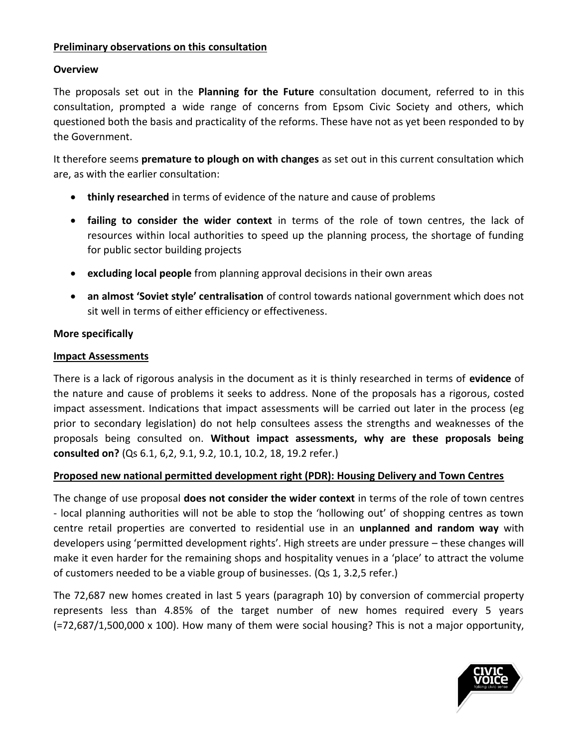#### **Preliminary observations on this consultation**

#### **Overview**

The proposals set out in the **Planning for the Future** consultation document, referred to in this consultation, prompted a wide range of concerns from Epsom Civic Society and others, which questioned both the basis and practicality of the reforms. These have not as yet been responded to by the Government.

It therefore seems **premature to plough on with changes** as set out in this current consultation which are, as with the earlier consultation:

- **thinly researched** in terms of evidence of the nature and cause of problems
- **failing to consider the wider context** in terms of the role of town centres, the lack of resources within local authorities to speed up the planning process, the shortage of funding for public sector building projects
- **excluding local people** from planning approval decisions in their own areas
- **an almost 'Soviet style' centralisation** of control towards national government which does not sit well in terms of either efficiency or effectiveness.

#### **More specifically**

#### **Impact Assessments**

There is a lack of rigorous analysis in the document as it is thinly researched in terms of **evidence** of the nature and cause of problems it seeks to address. None of the proposals has a rigorous, costed impact assessment. Indications that impact assessments will be carried out later in the process (eg prior to secondary legislation) do not help consultees assess the strengths and weaknesses of the proposals being consulted on. **Without impact assessments, why are these proposals being consulted on?** (Qs 6.1, 6,2, 9.1, 9.2, 10.1, 10.2, 18, 19.2 refer.)

#### **Proposed new national permitted development right (PDR): Housing Delivery and Town Centres**

The change of use proposal **does not consider the wider context** in terms of the role of town centres - local planning authorities will not be able to stop the 'hollowing out' of shopping centres as town centre retail properties are converted to residential use in an **unplanned and random way** with developers using 'permitted development rights'. High streets are under pressure – these changes will make it even harder for the remaining shops and hospitality venues in a 'place' to attract the volume of customers needed to be a viable group of businesses. (Qs 1, 3.2,5 refer.)

The 72,687 new homes created in last 5 years (paragraph 10) by conversion of commercial property represents less than 4.85% of the target number of new homes required every 5 years  $(=72,687/1,500,000 \times 100)$ . How many of them were social housing? This is not a major opportunity,

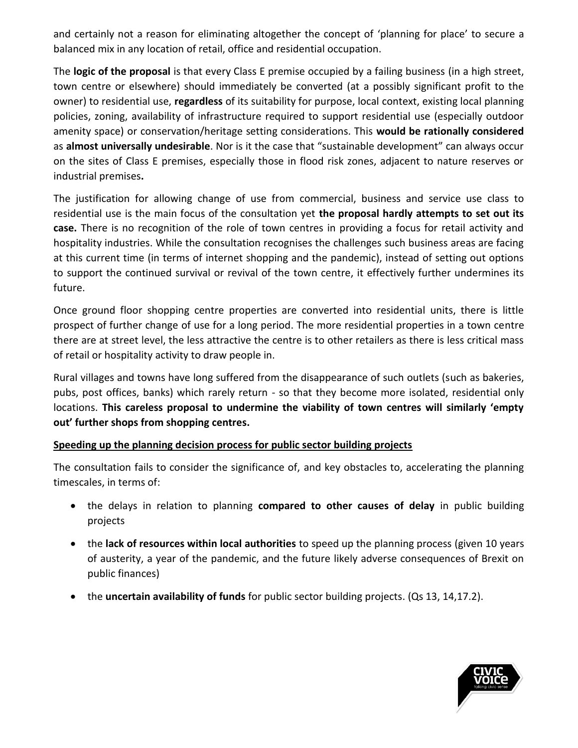and certainly not a reason for eliminating altogether the concept of 'planning for place' to secure a balanced mix in any location of retail, office and residential occupation.

The **logic of the proposal** is that every Class E premise occupied by a failing business (in a high street, town centre or elsewhere) should immediately be converted (at a possibly significant profit to the owner) to residential use, **regardless** of its suitability for purpose, local context, existing local planning policies, zoning, availability of infrastructure required to support residential use (especially outdoor amenity space) or conservation/heritage setting considerations. This **would be rationally considered** as **almost universally undesirable**. Nor is it the case that "sustainable development" can always occur on the sites of Class E premises, especially those in flood risk zones, adjacent to nature reserves or industrial premises**.**

The justification for allowing change of use from commercial, business and service use class to residential use is the main focus of the consultation yet **the proposal hardly attempts to set out its case.** There is no recognition of the role of town centres in providing a focus for retail activity and hospitality industries. While the consultation recognises the challenges such business areas are facing at this current time (in terms of internet shopping and the pandemic), instead of setting out options to support the continued survival or revival of the town centre, it effectively further undermines its future.

Once ground floor shopping centre properties are converted into residential units, there is little prospect of further change of use for a long period. The more residential properties in a town centre there are at street level, the less attractive the centre is to other retailers as there is less critical mass of retail or hospitality activity to draw people in.

Rural villages and towns have long suffered from the disappearance of such outlets (such as bakeries, pubs, post offices, banks) which rarely return - so that they become more isolated, residential only locations. **This careless proposal to undermine the viability of town centres will similarly 'empty out' further shops from shopping centres.**

#### **Speeding up the planning decision process for public sector building projects**

The consultation fails to consider the significance of, and key obstacles to, accelerating the planning timescales, in terms of:

- the delays in relation to planning **compared to other causes of delay** in public building projects
- the **lack of resources within local authorities** to speed up the planning process (given 10 years of austerity, a year of the pandemic, and the future likely adverse consequences of Brexit on public finances)
- the **uncertain availability of funds** for public sector building projects. (Qs 13, 14,17.2).

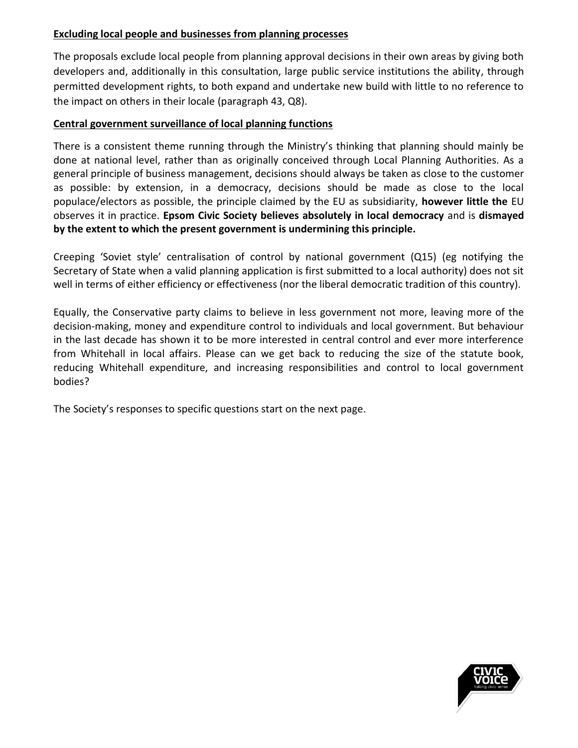#### **Excluding local people and businesses from planning processes**

The proposals exclude local people from planning approval decisions in their own areas by giving both developers and, additionally in this consultation, large public service institutions the ability, through permitted development rights, to both expand and undertake new build with little to no reference to the impact on others in their locale (paragraph 43, Q8).

#### **Central government surveillance of local planning functions**

There is a consistent theme running through the Ministry's thinking that planning should mainly be done at national level, rather than as originally conceived through Local Planning Authorities. As a general principle of business management, decisions should always be taken as close to the customer as possible: by extension, in a democracy, decisions should be made as close to the local populace/electors as possible, the principle claimed by the EU as subsidiarity, **however little the** EU observes it in practice. **Epsom Civic Society believes absolutely in local democracy** and is **dismayed by the extent to which the present government is undermining this principle.**

Creeping 'Soviet style' centralisation of control by national government (Q15) (eg notifying the Secretary of State when a valid planning application is first submitted to a local authority) does not sit well in terms of either efficiency or effectiveness (nor the liberal democratic tradition of this country).

Equally, the Conservative party claims to believe in less government not more, leaving more of the decision-making, money and expenditure control to individuals and local government. But behaviour in the last decade has shown it to be more interested in central control and ever more interference from Whitehall in local affairs. Please can we get back to reducing the size of the statute book, reducing Whitehall expenditure, and increasing responsibilities and control to local government bodies?

The Society's responses to specific questions start on the next page.

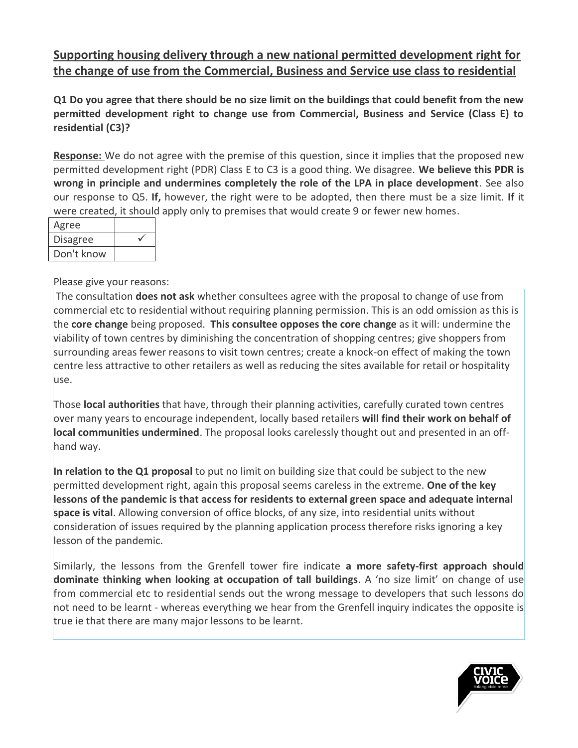# **Supporting housing delivery through a new national permitted development right for the change of use from the Commercial, Business and Service use class to residential**

**Q1 Do you agree that there should be no size limit on the buildings that could benefit from the new permitted development right to change use from Commercial, Business and Service (Class E) to residential (C3)?** 

**Response:** We do not agree with the premise of this question, since it implies that the proposed new permitted development right (PDR) Class E to C3 is a good thing. We disagree. **We believe this PDR is wrong in principle and undermines completely the role of the LPA in place development**. See also our response to Q5. **If,** however, the right were to be adopted, then there must be a size limit. **If** it were created, it should apply only to premises that would create 9 or fewer new homes.

| Agree      |  |
|------------|--|
| Disagree   |  |
| Don't know |  |

#### Please give your reasons:

The consultation **does not ask** whether consultees agree with the proposal to change of use from commercial etc to residential without requiring planning permission. This is an odd omission as this is the **core change** being proposed. **This consultee opposes the core change** as it will: undermine the viability of town centres by diminishing the concentration of shopping centres; give shoppers from surrounding areas fewer reasons to visit town centres; create a knock-on effect of making the town centre less attractive to other retailers as well as reducing the sites available for retail or hospitality use.

Those **local authorities** that have, through their planning activities, carefully curated town centres over many years to encourage independent, locally based retailers **will find their work on behalf of local communities undermined**. The proposal looks carelessly thought out and presented in an offhand way.

**In relation to the Q1 proposal** to put no limit on building size that could be subject to the new permitted development right, again this proposal seems careless in the extreme. **One of the key lessons of the pandemic is that access for residents to external green space and adequate internal space is vital**. Allowing conversion of office blocks, of any size, into residential units without consideration of issues required by the planning application process therefore risks ignoring a key lesson of the pandemic.

Similarly, the lessons from the Grenfell tower fire indicate **a more safety-first approach should dominate thinking when looking at occupation of tall buildings**. A 'no size limit' on change of use from commercial etc to residential sends out the wrong message to developers that such lessons do not need to be learnt - whereas everything we hear from the Grenfell inquiry indicates the opposite is true ie that there are many major lessons to be learnt.

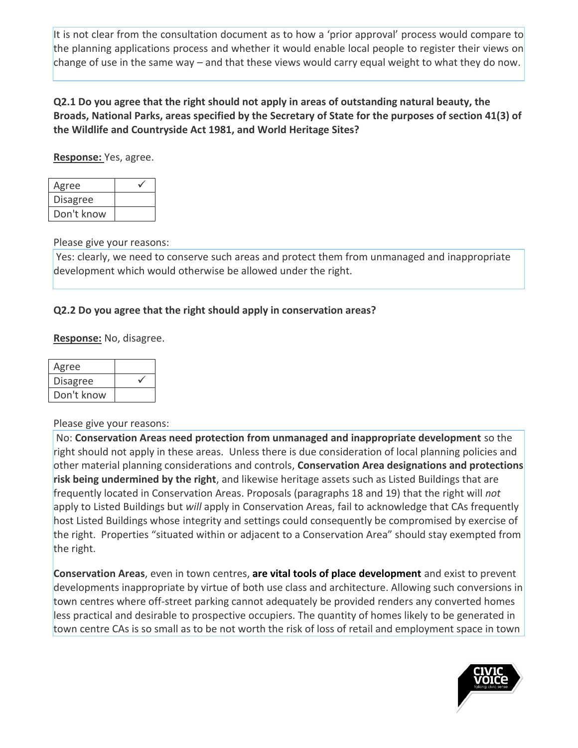It is not clear from the consultation document as to how a 'prior approval' process would compare to the planning applications process and whether it would enable local people to register their views on change of use in the same way – and that these views would carry equal weight to what they do now.

## **Q2.1 Do you agree that the right should not apply in areas of outstanding natural beauty, the Broads, National Parks, areas specified by the Secretary of State for the purposes of section 41(3) of the Wildlife and Countryside Act 1981, and World Heritage Sites?**

**Response:** Yes, agree.

| Agree           |  |
|-----------------|--|
| <b>Disagree</b> |  |
| Don't know      |  |

Please give your reasons:

Yes: clearly, we need to conserve such areas and protect them from unmanaged and inappropriate development which would otherwise be allowed under the right.

#### **Q2.2 Do you agree that the right should apply in conservation areas?**

**Response:** No, disagree.

| Agree      |  |
|------------|--|
| Disagree   |  |
| Don't know |  |

#### Please give your reasons:

No: **Conservation Areas need protection from unmanaged and inappropriate development** so the right should not apply in these areas. Unless there is due consideration of local planning policies and other material planning considerations and controls, **Conservation Area designations and protections risk being undermined by the right**, and likewise heritage assets such as Listed Buildings that are frequently located in Conservation Areas. Proposals (paragraphs 18 and 19) that the right will *not* apply to Listed Buildings but *will* apply in Conservation Areas, fail to acknowledge that CAs frequently host Listed Buildings whose integrity and settings could consequently be compromised by exercise of the right. Properties "situated within or adjacent to a Conservation Area" should stay exempted from the right.

**Conservation Areas**, even in town centres, **are vital tools of place development** and exist to prevent developments inappropriate by virtue of both use class and architecture. Allowing such conversions in town centres where off-street parking cannot adequately be provided renders any converted homes less practical and desirable to prospective occupiers. The quantity of homes likely to be generated in town centre CAs is so small as to be not worth the risk of loss of retail and employment space in town

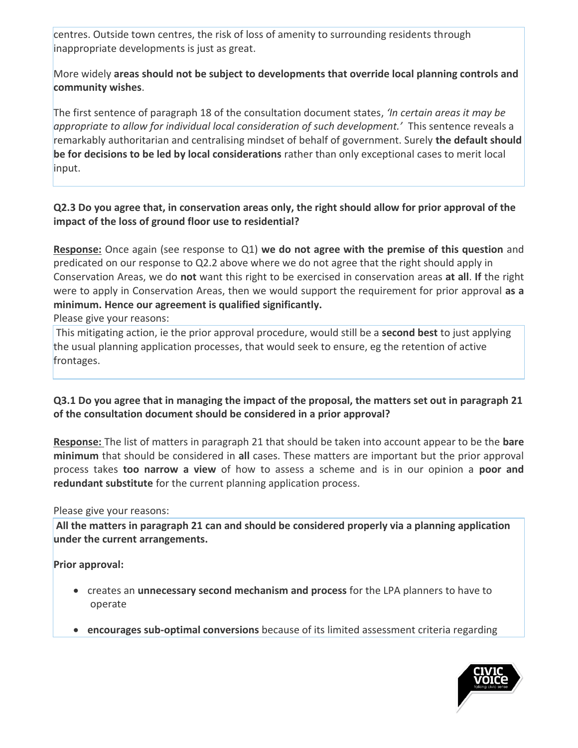centres. Outside town centres, the risk of loss of amenity to surrounding residents through inappropriate developments is just as great.

## More widely **areas should not be subject to developments that override local planning controls and community wishes**.

The first sentence of paragraph 18 of the consultation document states, *'In certain areas it may be appropriate to allow for individual local consideration of such development.'* This sentence reveals a remarkably authoritarian and centralising mindset of behalf of government. Surely **the default should be for decisions to be led by local considerations** rather than only exceptional cases to merit local input.

## **Q2.3 Do you agree that, in conservation areas only, the right should allow for prior approval of the impact of the loss of ground floor use to residential?**

**Response:** Once again (see response to Q1) **we do not agree with the premise of this question** and predicated on our response to Q2.2 above where we do not agree that the right should apply in Conservation Areas, we do **not** want this right to be exercised in conservation areas **at all**. **If** the right were to apply in Conservation Areas, then we would support the requirement for prior approval **as a minimum. Hence our agreement is qualified significantly.**

Please give your reasons:

This mitigating action, ie the prior approval procedure, would still be a **second best** to just applying the usual planning application processes, that would seek to ensure, eg the retention of active frontages.

## **Q3.1 Do you agree that in managing the impact of the proposal, the matters set out in paragraph 21 of the consultation document should be considered in a prior approval?**

**Response:** The list of matters in paragraph 21 that should be taken into account appear to be the **bare minimum** that should be considered in **all** cases. These matters are important but the prior approval process takes **too narrow a view** of how to assess a scheme and is in our opinion a **poor and redundant substitute** for the current planning application process.

#### Please give your reasons:

**All the matters in paragraph 21 can and should be considered properly via a planning application under the current arrangements.**

**Prior approval:**

- creates an **unnecessary second mechanism and process** for the LPA planners to have to operate
- **encourages sub-optimal conversions** because of its limited assessment criteria regarding

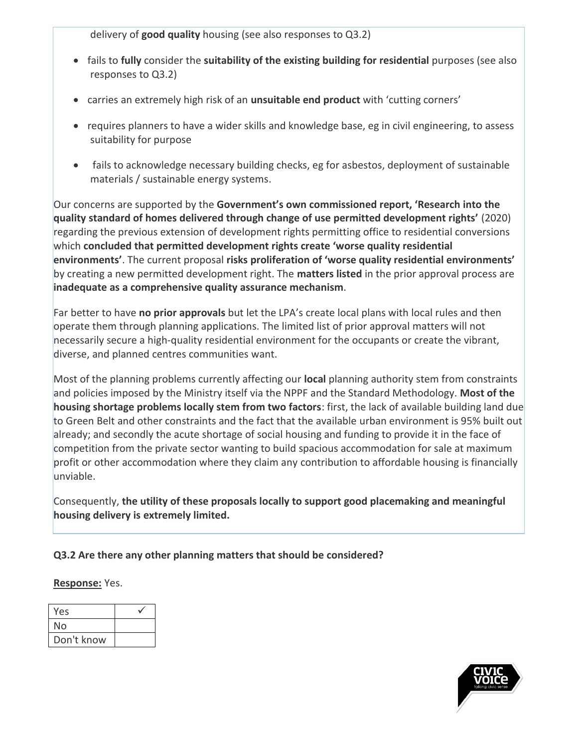delivery of **good quality** housing (see also responses to Q3.2)

- fails to **fully** consider the **suitability of the existing building for residential** purposes (see also responses to Q3.2)
- carries an extremely high risk of an **unsuitable end product** with 'cutting corners'
- requires planners to have a wider skills and knowledge base, eg in civil engineering, to assess suitability for purpose
- fails to acknowledge necessary building checks, eg for asbestos, deployment of sustainable materials / sustainable energy systems.

Our concerns are supported by the **Government's own commissioned report, 'Research into the quality standard of homes delivered through change of use permitted development rights'** (2020) regarding the previous extension of development rights permitting office to residential conversions which **concluded that permitted development rights create 'worse quality residential environments'**. The current proposal **risks proliferation of 'worse quality residential environments'**  by creating a new permitted development right. The **matters listed** in the prior approval process are **inadequate as a comprehensive quality assurance mechanism**.

Far better to have **no prior approvals** but let the LPA's create local plans with local rules and then operate them through planning applications. The limited list of prior approval matters will not necessarily secure a high-quality residential environment for the occupants or create the vibrant, diverse, and planned centres communities want.

Most of the planning problems currently affecting our **local** planning authority stem from constraints and policies imposed by the Ministry itself via the NPPF and the Standard Methodology. **Most of the housing shortage problems locally stem from two factors**: first, the lack of available building land due to Green Belt and other constraints and the fact that the available urban environment is 95% built out already; and secondly the acute shortage of social housing and funding to provide it in the face of competition from the private sector wanting to build spacious accommodation for sale at maximum profit or other accommodation where they claim any contribution to affordable housing is financially unviable.

Consequently, **the utility of these proposals locally to support good placemaking and meaningful housing delivery is extremely limited.**

## **Q3.2 Are there any other planning matters that should be considered?**

**Response:** Yes.

| Yes        |  |
|------------|--|
| No         |  |
| Don't know |  |

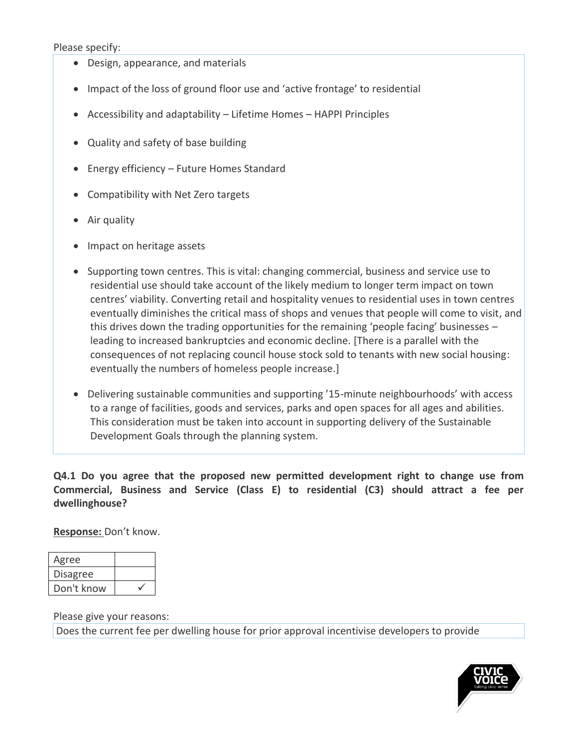Please specify:

- Design, appearance, and materials
- Impact of the loss of ground floor use and 'active frontage' to residential
- Accessibility and adaptability Lifetime Homes HAPPI Principles
- Quality and safety of base building
- Energy efficiency Future Homes Standard
- Compatibility with Net Zero targets
- Air quality
- Impact on heritage assets
- Supporting town centres. This is vital: changing commercial, business and service use to residential use should take account of the likely medium to longer term impact on town centres' viability. Converting retail and hospitality venues to residential uses in town centres eventually diminishes the critical mass of shops and venues that people will come to visit, and this drives down the trading opportunities for the remaining 'people facing' businesses – leading to increased bankruptcies and economic decline. [There is a parallel with the consequences of not replacing council house stock sold to tenants with new social housing: eventually the numbers of homeless people increase.]
- Delivering sustainable communities and supporting '15-minute neighbourhoods' with access to a range of facilities, goods and services, parks and open spaces for all ages and abilities. This consideration must be taken into account in supporting delivery of the Sustainable Development Goals through the planning system.

**Q4.1 Do you agree that the proposed new permitted development right to change use from Commercial, Business and Service (Class E) to residential (C3) should attract a fee per dwellinghouse?** 

**Response:** Don't know.

| Agree           |  |
|-----------------|--|
| <b>Disagree</b> |  |
| Don't know      |  |

Please give your reasons:

Does the current fee per dwelling house for prior approval incentivise developers to provide

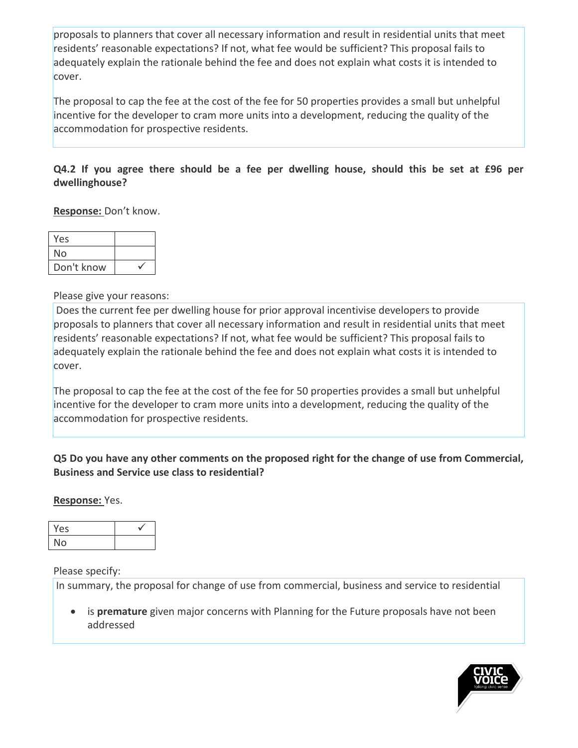proposals to planners that cover all necessary information and result in residential units that meet residents' reasonable expectations? If not, what fee would be sufficient? This proposal fails to adequately explain the rationale behind the fee and does not explain what costs it is intended to cover.

The proposal to cap the fee at the cost of the fee for 50 properties provides a small but unhelpful incentive for the developer to cram more units into a development, reducing the quality of the accommodation for prospective residents.

#### **Q4.2 If you agree there should be a fee per dwelling house, should this be set at £96 per dwellinghouse?**

**Response:** Don't know.

| Yes        |  |
|------------|--|
| Nο         |  |
| Don't know |  |

Please give your reasons:

Does the current fee per dwelling house for prior approval incentivise developers to provide proposals to planners that cover all necessary information and result in residential units that meet residents' reasonable expectations? If not, what fee would be sufficient? This proposal fails to adequately explain the rationale behind the fee and does not explain what costs it is intended to cover.

The proposal to cap the fee at the cost of the fee for 50 properties provides a small but unhelpful incentive for the developer to cram more units into a development, reducing the quality of the accommodation for prospective residents.

#### **Q5 Do you have any other comments on the proposed right for the change of use from Commercial, Business and Service use class to residential?**

**Response:** Yes.

| Yes |  |
|-----|--|
| No  |  |

Please specify:

In summary, the proposal for change of use from commercial, business and service to residential

• is **premature** given major concerns with Planning for the Future proposals have not been addressed

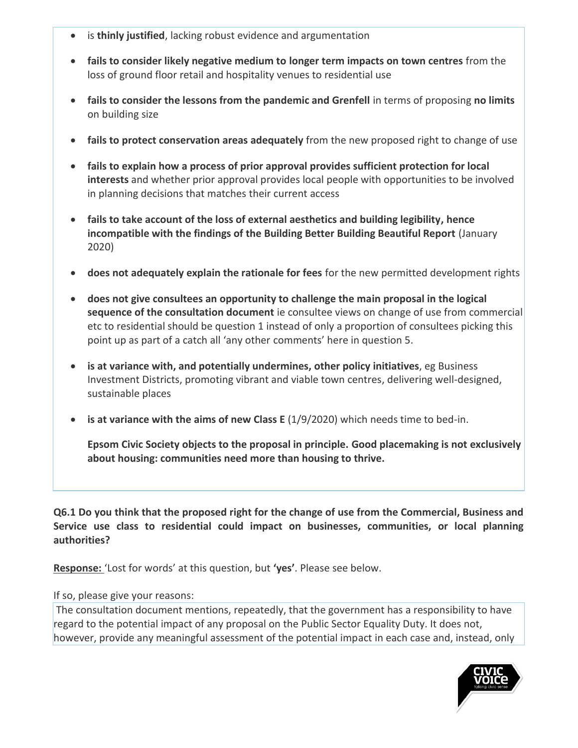- is **thinly justified**, lacking robust evidence and argumentation
- **fails to consider likely negative medium to longer term impacts on town centres** from the loss of ground floor retail and hospitality venues to residential use
- **fails to consider the lessons from the pandemic and Grenfell** in terms of proposing **no limits** on building size
- **fails to protect conservation areas adequately** from the new proposed right to change of use
- **fails to explain how a process of prior approval provides sufficient protection for local interests** and whether prior approval provides local people with opportunities to be involved in planning decisions that matches their current access
- **fails to take account of the loss of external aesthetics and building legibility, hence incompatible with the findings of the Building Better Building Beautiful Report** (January 2020)
- **does not adequately explain the rationale for fees** for the new permitted development rights
- **does not give consultees an opportunity to challenge the main proposal in the logical sequence of the consultation document** ie consultee views on change of use from commercial etc to residential should be question 1 instead of only a proportion of consultees picking this point up as part of a catch all 'any other comments' here in question 5.
- **is at variance with, and potentially undermines, other policy initiatives**, eg Business Investment Districts, promoting vibrant and viable town centres, delivering well-designed, sustainable places
- **is at variance with the aims of new Class E** (1/9/2020) which needs time to bed-in.

**Epsom Civic Society objects to the proposal in principle. Good placemaking is not exclusively about housing: communities need more than housing to thrive.**

**Q6.1 Do you think that the proposed right for the change of use from the Commercial, Business and Service use class to residential could impact on businesses, communities, or local planning authorities?** 

**Response:** 'Lost for words' at this question, but **'yes'**. Please see below.

#### If so, please give your reasons:

The consultation document mentions, repeatedly, that the government has a responsibility to have regard to the potential impact of any proposal on the Public Sector Equality Duty. It does not, however, provide any meaningful assessment of the potential impact in each case and, instead, only

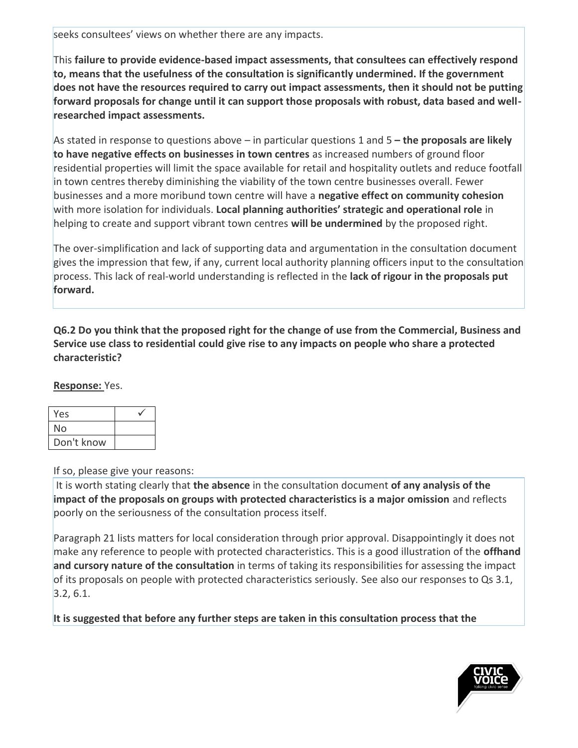seeks consultees' views on whether there are any impacts.

This **failure to provide evidence-based impact assessments, that consultees can effectively respond to, means that the usefulness of the consultation is significantly undermined. If the government does not have the resources required to carry out impact assessments, then it should not be putting forward proposals for change until it can support those proposals with robust, data based and wellresearched impact assessments.**

As stated in response to questions above – in particular questions 1 and 5 **– the proposals are likely to have negative effects on businesses in town centres** as increased numbers of ground floor residential properties will limit the space available for retail and hospitality outlets and reduce footfall in town centres thereby diminishing the viability of the town centre businesses overall. Fewer businesses and a more moribund town centre will have a **negative effect on community cohesion** with more isolation for individuals. **Local planning authorities' strategic and operational role** in helping to create and support vibrant town centres **will be undermined** by the proposed right.

The over-simplification and lack of supporting data and argumentation in the consultation document gives the impression that few, if any, current local authority planning officers input to the consultation process. This lack of real-world understanding is reflected in the **lack of rigour in the proposals put forward.**

**Q6.2 Do you think that the proposed right for the change of use from the Commercial, Business and Service use class to residential could give rise to any impacts on people who share a protected characteristic?** 

#### **Response:** Yes.

| Yes        |  |
|------------|--|
| Nο         |  |
| Don't know |  |

#### If so, please give your reasons:

It is worth stating clearly that **the absence** in the consultation document **of any analysis of the impact of the proposals on groups with protected characteristics is a major omission** and reflects poorly on the seriousness of the consultation process itself.

Paragraph 21 lists matters for local consideration through prior approval. Disappointingly it does not make any reference to people with protected characteristics. This is a good illustration of the **offhand and cursory nature of the consultation** in terms of taking its responsibilities for assessing the impact of its proposals on people with protected characteristics seriously. See also our responses to Qs 3.1,  $3.2, 6.1.$ 

**It is suggested that before any further steps are taken in this consultation process that the** 

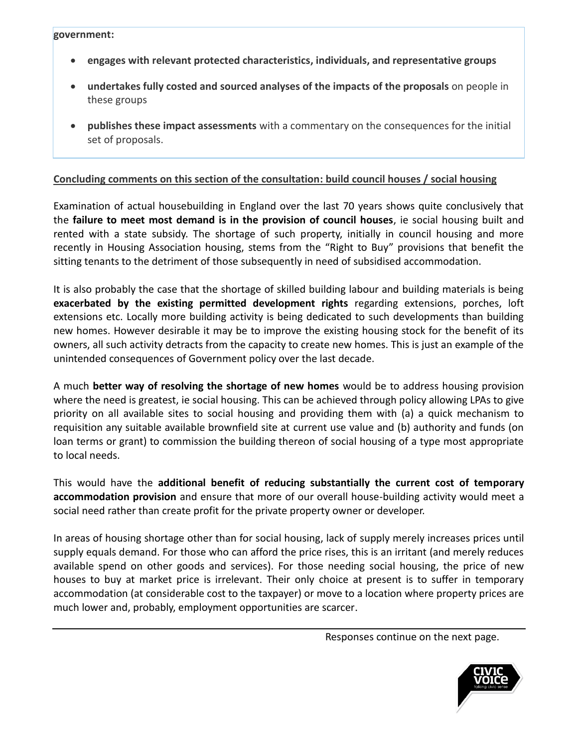#### **government:**

- **engages with relevant protected characteristics, individuals, and representative groups**
- **undertakes fully costed and sourced analyses of the impacts of the proposals** on people in these groups
- **publishes these impact assessments** with a commentary on the consequences for the initial set of proposals.

#### **Concluding comments on this section of the consultation: build council houses / social housing**

Examination of actual housebuilding in England over the last 70 years shows quite conclusively that the **failure to meet most demand is in the provision of council houses**, ie social housing built and rented with a state subsidy. The shortage of such property, initially in council housing and more recently in Housing Association housing, stems from the "Right to Buy" provisions that benefit the sitting tenants to the detriment of those subsequently in need of subsidised accommodation.

It is also probably the case that the shortage of skilled building labour and building materials is being **exacerbated by the existing permitted development rights** regarding extensions, porches, loft extensions etc. Locally more building activity is being dedicated to such developments than building new homes. However desirable it may be to improve the existing housing stock for the benefit of its owners, all such activity detracts from the capacity to create new homes. This is just an example of the unintended consequences of Government policy over the last decade.

A much **better way of resolving the shortage of new homes** would be to address housing provision where the need is greatest, ie social housing. This can be achieved through policy allowing LPAs to give priority on all available sites to social housing and providing them with (a) a quick mechanism to requisition any suitable available brownfield site at current use value and (b) authority and funds (on loan terms or grant) to commission the building thereon of social housing of a type most appropriate to local needs.

This would have the **additional benefit of reducing substantially the current cost of temporary accommodation provision** and ensure that more of our overall house-building activity would meet a social need rather than create profit for the private property owner or developer.

In areas of housing shortage other than for social housing, lack of supply merely increases prices until supply equals demand. For those who can afford the price rises, this is an irritant (and merely reduces available spend on other goods and services). For those needing social housing, the price of new houses to buy at market price is irrelevant. Their only choice at present is to suffer in temporary accommodation (at considerable cost to the taxpayer) or move to a location where property prices are much lower and, probably, employment opportunities are scarcer.

Responses continue on the next page.

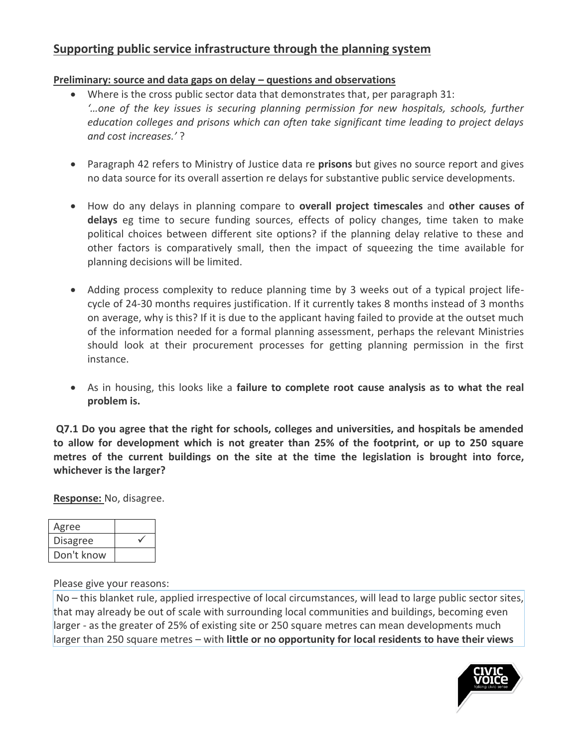# **Supporting public service infrastructure through the planning system**

#### **Preliminary: source and data gaps on delay – questions and observations**

- Where is the cross public sector data that demonstrates that, per paragraph 31: *'…one of the key issues is securing planning permission for new hospitals, schools, further education colleges and prisons which can often take significant time leading to project delays and cost increases.'* ?
- Paragraph 42 refers to Ministry of Justice data re **prisons** but gives no source report and gives no data source for its overall assertion re delays for substantive public service developments.
- How do any delays in planning compare to **overall project timescales** and **other causes of delays** eg time to secure funding sources, effects of policy changes, time taken to make political choices between different site options? if the planning delay relative to these and other factors is comparatively small, then the impact of squeezing the time available for planning decisions will be limited.
- Adding process complexity to reduce planning time by 3 weeks out of a typical project lifecycle of 24-30 months requires justification. If it currently takes 8 months instead of 3 months on average, why is this? If it is due to the applicant having failed to provide at the outset much of the information needed for a formal planning assessment, perhaps the relevant Ministries should look at their procurement processes for getting planning permission in the first instance.
- As in housing, this looks like a **failure to complete root cause analysis as to what the real problem is.**

**Q7.1 Do you agree that the right for schools, colleges and universities, and hospitals be amended to allow for development which is not greater than 25% of the footprint, or up to 250 square metres of the current buildings on the site at the time the legislation is brought into force, whichever is the larger?** 

**Response:** No, disagree.

| Agree           |  |
|-----------------|--|
| <b>Disagree</b> |  |
| Don't know      |  |

#### Please give your reasons:

No – this blanket rule, applied irrespective of local circumstances, will lead to large public sector sites, that may already be out of scale with surrounding local communities and buildings, becoming even larger - as the greater of 25% of existing site or 250 square metres can mean developments much larger than 250 square metres – with **little or no opportunity for local residents to have their views** 

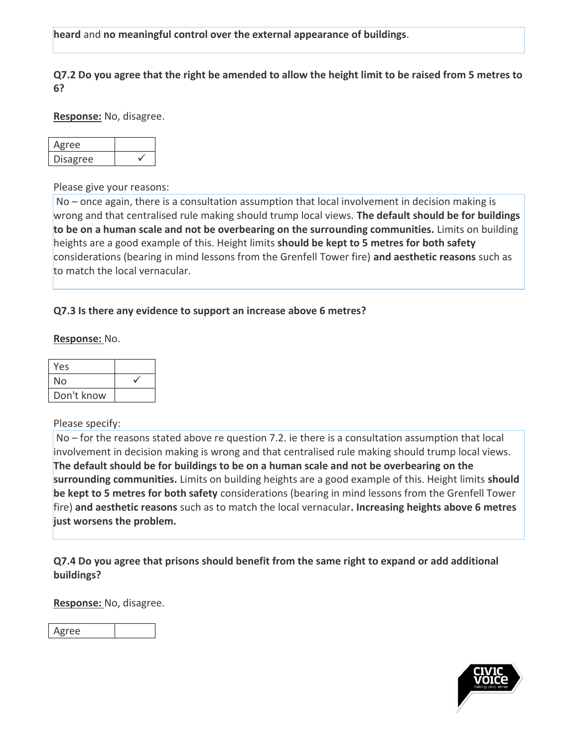**heard** and **no meaningful control over the external appearance of buildings**.

**Q7.2 Do you agree that the right be amended to allow the height limit to be raised from 5 metres to 6?**

**Response:** No, disagree.

| Agree           |  |
|-----------------|--|
| <b>Disagree</b> |  |

Please give your reasons:

No – once again, there is a consultation assumption that local involvement in decision making is wrong and that centralised rule making should trump local views. **The default should be for buildings to be on a human scale and not be overbearing on the surrounding communities.** Limits on building heights are a good example of this. Height limits **should be kept to 5 metres for both safety** considerations (bearing in mind lessons from the Grenfell Tower fire) **and aesthetic reasons** such as to match the local vernacular.

#### **Q7.3 Is there any evidence to support an increase above 6 metres?**

#### **Response:** No.

| Yes        |  |
|------------|--|
| No         |  |
| Don't know |  |

#### Please specify:

No – for the reasons stated above re question 7.2. ie there is a consultation assumption that local involvement in decision making is wrong and that centralised rule making should trump local views. **The default should be for buildings to be on a human scale and not be overbearing on the surrounding communities.** Limits on building heights are a good example of this. Height limits **should be kept to 5 metres for both safety** considerations (bearing in mind lessons from the Grenfell Tower fire) **and aesthetic reasons** such as to match the local vernacular**. Increasing heights above 6 metres just worsens the problem.**

**Q7.4 Do you agree that prisons should benefit from the same right to expand or add additional buildings?** 

**Response:** No, disagree.

Agree

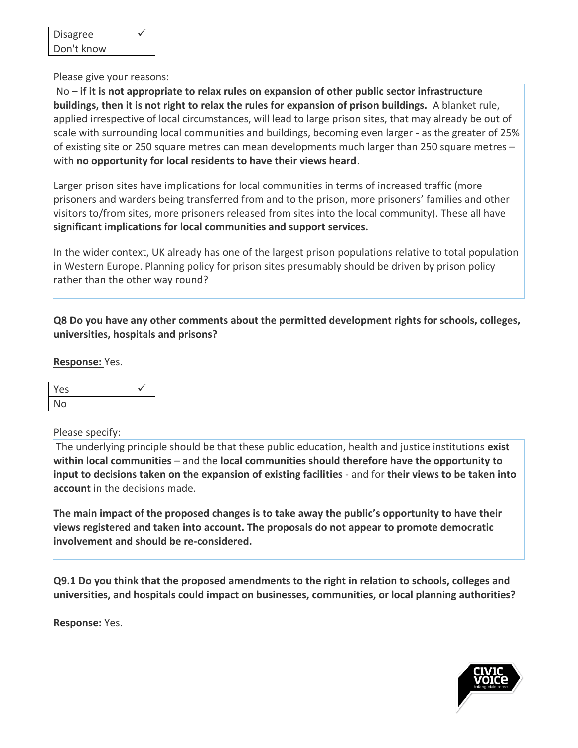| <b>Disagree</b> |  |
|-----------------|--|
| Don't know      |  |

#### Please give your reasons:

No – **if it is not appropriate to relax rules on expansion of other public sector infrastructure buildings, then it is not right to relax the rules for expansion of prison buildings.** A blanket rule, applied irrespective of local circumstances, will lead to large prison sites, that may already be out of scale with surrounding local communities and buildings, becoming even larger - as the greater of 25% of existing site or 250 square metres can mean developments much larger than 250 square metres – with **no opportunity for local residents to have their views heard**.

Larger prison sites have implications for local communities in terms of increased traffic (more prisoners and warders being transferred from and to the prison, more prisoners' families and other visitors to/from sites, more prisoners released from sites into the local community). These all have **significant implications for local communities and support services.** 

In the wider context, UK already has one of the largest prison populations relative to total population in Western Europe. Planning policy for prison sites presumably should be driven by prison policy rather than the other way round?

## **Q8 Do you have any other comments about the permitted development rights for schools, colleges, universities, hospitals and prisons?**

#### **Response:** Yes.

| Yes |  |
|-----|--|
| No  |  |

Please specify:

The underlying principle should be that these public education, health and justice institutions **exist within local communities** – and the **local communities should therefore have the opportunity to input to decisions taken on the expansion of existing facilities** - and for **their views to be taken into account** in the decisions made.

**The main impact of the proposed changes is to take away the public's opportunity to have their views registered and taken into account. The proposals do not appear to promote democratic involvement and should be re-considered.**

**Q9.1 Do you think that the proposed amendments to the right in relation to schools, colleges and universities, and hospitals could impact on businesses, communities, or local planning authorities?** 

**Response:** Yes.

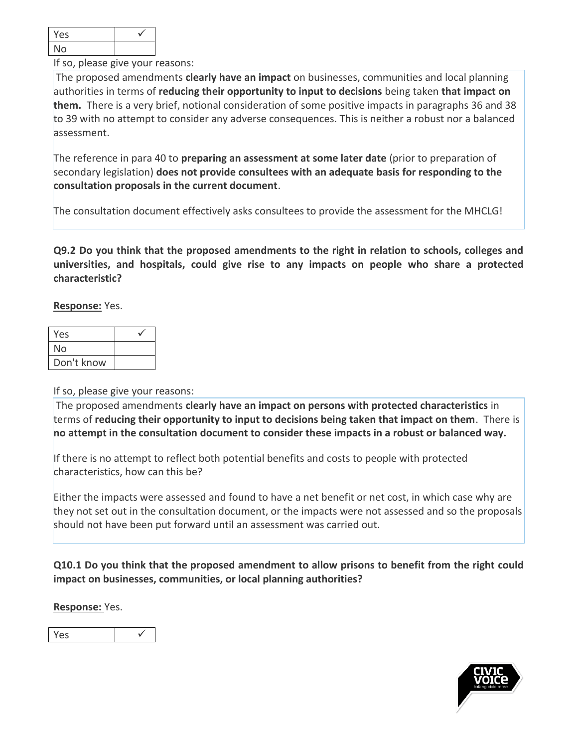| Yes |  |
|-----|--|
| No  |  |

If so, please give your reasons:

The proposed amendments **clearly have an impact** on businesses, communities and local planning authorities in terms of **reducing their opportunity to input to decisions** being taken **that impact on them.** There is a very brief, notional consideration of some positive impacts in paragraphs 36 and 38 to 39 with no attempt to consider any adverse consequences. This is neither a robust nor a balanced assessment.

The reference in para 40 to **preparing an assessment at some later date** (prior to preparation of secondary legislation) **does not provide consultees with an adequate basis for responding to the consultation proposals in the current document**.

The consultation document effectively asks consultees to provide the assessment for the MHCLG!

**Q9.2 Do you think that the proposed amendments to the right in relation to schools, colleges and universities, and hospitals, could give rise to any impacts on people who share a protected characteristic?** 

**Response:** Yes.

| Yes        |  |
|------------|--|
| Nο         |  |
| Don't know |  |

If so, please give your reasons:

The proposed amendments **clearly have an impact on persons with protected characteristics** in terms of **reducing their opportunity to input to decisions being taken that impact on them**. There is **no attempt in the consultation document to consider these impacts in a robust or balanced way.**

If there is no attempt to reflect both potential benefits and costs to people with protected characteristics, how can this be?

Either the impacts were assessed and found to have a net benefit or net cost, in which case why are they not set out in the consultation document, or the impacts were not assessed and so the proposals should not have been put forward until an assessment was carried out.

**Q10.1 Do you think that the proposed amendment to allow prisons to benefit from the right could impact on businesses, communities, or local planning authorities?** 

**Response:** Yes.

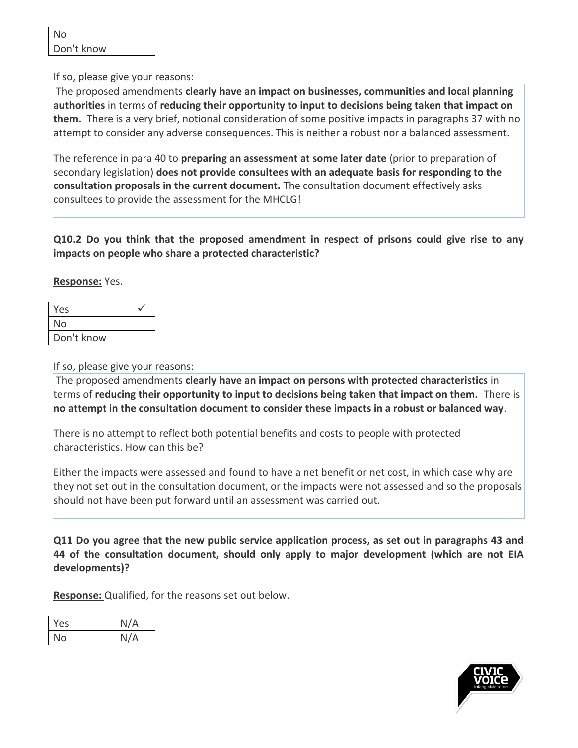| N٥         |  |
|------------|--|
| Don't know |  |

#### If so, please give your reasons:

The proposed amendments **clearly have an impact on businesses, communities and local planning authorities** in terms of **reducing their opportunity to input to decisions being taken that impact on them.** There is a very brief, notional consideration of some positive impacts in paragraphs 37 with no attempt to consider any adverse consequences. This is neither a robust nor a balanced assessment.

The reference in para 40 to **preparing an assessment at some later date** (prior to preparation of secondary legislation) **does not provide consultees with an adequate basis for responding to the consultation proposals in the current document.** The consultation document effectively asks consultees to provide the assessment for the MHCLG!

**Q10.2 Do you think that the proposed amendment in respect of prisons could give rise to any impacts on people who share a protected characteristic?** 

#### **Response:** Yes.

| Yes        |  |
|------------|--|
| No         |  |
| Don't know |  |

If so, please give your reasons:

The proposed amendments **clearly have an impact on persons with protected characteristics** in terms of **reducing their opportunity to input to decisions being taken that impact on them.** There is **no attempt in the consultation document to consider these impacts in a robust or balanced way**.

There is no attempt to reflect both potential benefits and costs to people with protected characteristics. How can this be?

Either the impacts were assessed and found to have a net benefit or net cost, in which case why are they not set out in the consultation document, or the impacts were not assessed and so the proposals should not have been put forward until an assessment was carried out.

**Q11 Do you agree that the new public service application process, as set out in paragraphs 43 and 44 of the consultation document, should only apply to major development (which are not EIA developments)?** 

**Response:** Qualified, for the reasons set out below.

| Yes | N/A |
|-----|-----|
| No  | N/A |

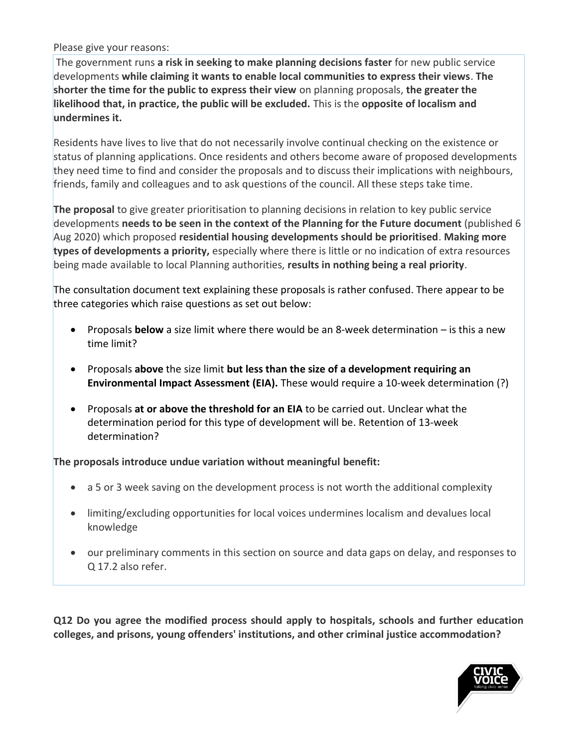Please give your reasons:

The government runs **a risk in seeking to make planning decisions faster** for new public service developments **while claiming it wants to enable local communities to express their views**. **The shorter the time for the public to express their view** on planning proposals, **the greater the likelihood that, in practice, the public will be excluded.** This is the **opposite of localism and undermines it.**

Residents have lives to live that do not necessarily involve continual checking on the existence or status of planning applications. Once residents and others become aware of proposed developments they need time to find and consider the proposals and to discuss their implications with neighbours, friends, family and colleagues and to ask questions of the council. All these steps take time.

**The proposal** to give greater prioritisation to planning decisions in relation to key public service developments **needs to be seen in the context of the Planning for the Future document** (published 6 Aug 2020) which proposed **residential housing developments should be prioritised**. **Making more types of developments a priority,** especially where there is little or no indication of extra resources being made available to local Planning authorities, **results in nothing being a real priority**.

The consultation document text explaining these proposals is rather confused. There appear to be three categories which raise questions as set out below:

- Proposals **below** a size limit where there would be an 8-week determination is this a new time limit?
- Proposals **above** the size limit **but less than the size of a development requiring an Environmental Impact Assessment (EIA).** These would require a 10-week determination (?)
- Proposals **at or above the threshold for an EIA** to be carried out. Unclear what the determination period for this type of development will be. Retention of 13-week determination?

**The proposals introduce undue variation without meaningful benefit:** 

- a 5 or 3 week saving on the development process is not worth the additional complexity
- limiting/excluding opportunities for local voices undermines localism and devalues local knowledge
- our preliminary comments in this section on source and data gaps on delay, and responses to Q 17.2 also refer.

**Q12 Do you agree the modified process should apply to hospitals, schools and further education colleges, and prisons, young offenders' institutions, and other criminal justice accommodation?**

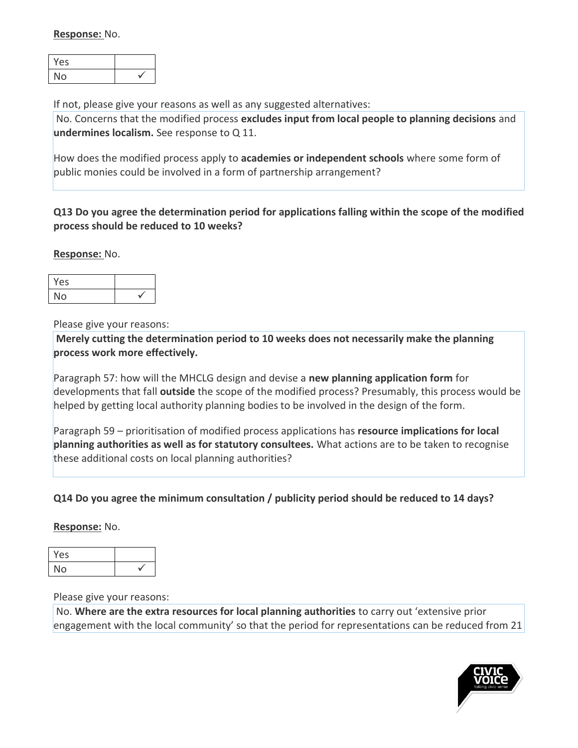#### **Response:** No.

| Yes |  |
|-----|--|
| No  |  |

If not, please give your reasons as well as any suggested alternatives:

No. Concerns that the modified process **excludes input from local people to planning decisions** and **undermines localism.** See response to Q 11.

How does the modified process apply to **academies or independent schools** where some form of public monies could be involved in a form of partnership arrangement?

#### **Q13 Do you agree the determination period for applications falling within the scope of the modified process should be reduced to 10 weeks?**

**Response:** No.

| Yes |  |
|-----|--|
| No  |  |

Please give your reasons:

**Merely cutting the determination period to 10 weeks does not necessarily make the planning process work more effectively.** 

Paragraph 57: how will the MHCLG design and devise a **new planning application form** for developments that fall **outside** the scope of the modified process? Presumably, this process would be helped by getting local authority planning bodies to be involved in the design of the form.

Paragraph 59 – prioritisation of modified process applications has **resource implications for local planning authorities as well as for statutory consultees.** What actions are to be taken to recognise these additional costs on local planning authorities?

**Q14 Do you agree the minimum consultation / publicity period should be reduced to 14 days?** 

#### **Response:** No.

| Yes |  |
|-----|--|
| No  |  |

#### Please give your reasons:

No. **Where are the extra resources for local planning authorities** to carry out 'extensive prior engagement with the local community' so that the period for representations can be reduced from 21

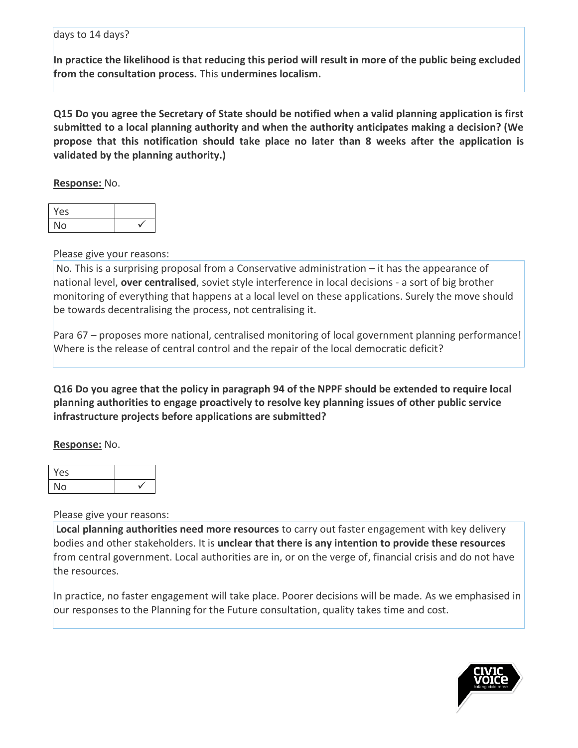#### days to 14 days?

**In practice the likelihood is that reducing this period will result in more of the public being excluded from the consultation process.** This **undermines localism.**

**Q15 Do you agree the Secretary of State should be notified when a valid planning application is first submitted to a local planning authority and when the authority anticipates making a decision? (We propose that this notification should take place no later than 8 weeks after the application is validated by the planning authority.)** 

**Response:** No.

| Yes |  |
|-----|--|
| No  |  |

Please give your reasons:

No. This is a surprising proposal from a Conservative administration – it has the appearance of national level, **over centralised**, soviet style interference in local decisions - a sort of big brother monitoring of everything that happens at a local level on these applications. Surely the move should be towards decentralising the process, not centralising it.

Para 67 – proposes more national, centralised monitoring of local government planning performance! Where is the release of central control and the repair of the local democratic deficit?

**Q16 Do you agree that the policy in paragraph 94 of the NPPF should be extended to require local planning authorities to engage proactively to resolve key planning issues of other public service infrastructure projects before applications are submitted?** 

**Response:** No.

| Yes |  |
|-----|--|
| No  |  |

Please give your reasons:

**Local planning authorities need more resources** to carry out faster engagement with key delivery bodies and other stakeholders. It is **unclear that there is any intention to provide these resources** from central government. Local authorities are in, or on the verge of, financial crisis and do not have the resources.

In practice, no faster engagement will take place. Poorer decisions will be made. As we emphasised in our responses to the Planning for the Future consultation, quality takes time and cost.

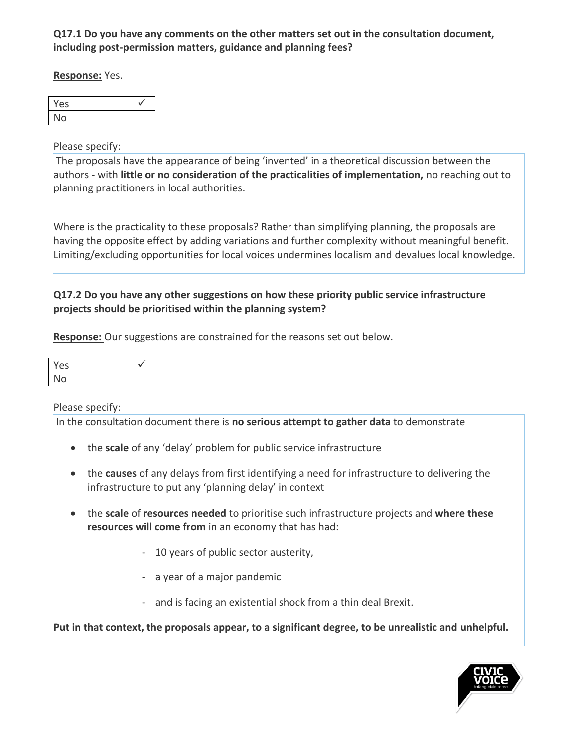#### **Q17.1 Do you have any comments on the other matters set out in the consultation document, including post-permission matters, guidance and planning fees?**

**Response:** Yes.

| Yes |  |
|-----|--|
| No  |  |

Please specify:

The proposals have the appearance of being 'invented' in a theoretical discussion between the authors - with **little or no consideration of the practicalities of implementation,** no reaching out to planning practitioners in local authorities.

Where is the practicality to these proposals? Rather than simplifying planning, the proposals are having the opposite effect by adding variations and further complexity without meaningful benefit. Limiting/excluding opportunities for local voices undermines localism and devalues local knowledge.

#### **Q17.2 Do you have any other suggestions on how these priority public service infrastructure projects should be prioritised within the planning system?**

**Response:** Our suggestions are constrained for the reasons set out below.

| Yes |  |
|-----|--|
| No  |  |

Please specify:

In the consultation document there is **no serious attempt to gather data** to demonstrate

- the **scale** of any 'delay' problem for public service infrastructure
- the **causes** of any delays from first identifying a need for infrastructure to delivering the infrastructure to put any 'planning delay' in context
- the **scale** of **resources needed** to prioritise such infrastructure projects and **where these resources will come from** in an economy that has had:
	- 10 years of public sector austerity,
	- a year of a major pandemic
	- and is facing an existential shock from a thin deal Brexit.

**Put in that context, the proposals appear, to a significant degree, to be unrealistic and unhelpful.**

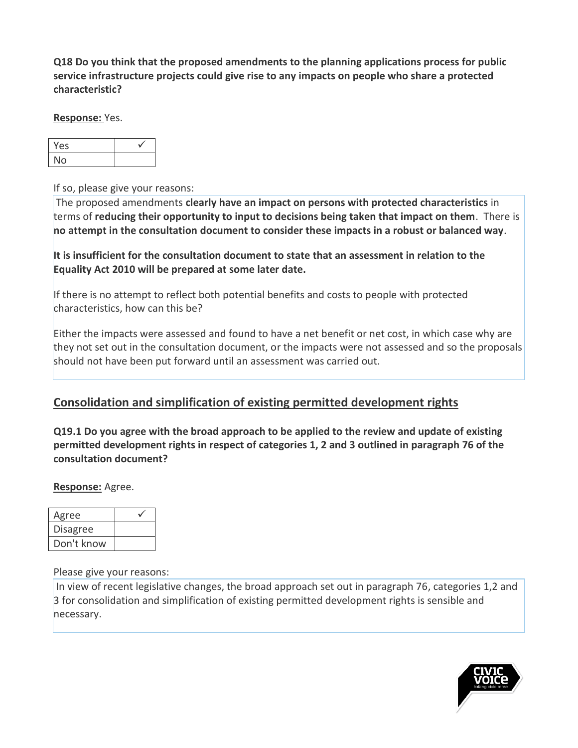**Q18 Do you think that the proposed amendments to the planning applications process for public service infrastructure projects could give rise to any impacts on people who share a protected characteristic?** 

**Response:** Yes.

| Yes |  |
|-----|--|
| No  |  |

If so, please give your reasons:

The proposed amendments **clearly have an impact on persons with protected characteristics** in terms of **reducing their opportunity to input to decisions being taken that impact on them**. There is **no attempt in the consultation document to consider these impacts in a robust or balanced way**.

**It is insufficient for the consultation document to state that an assessment in relation to the Equality Act 2010 will be prepared at some later date.**

If there is no attempt to reflect both potential benefits and costs to people with protected characteristics, how can this be?

Either the impacts were assessed and found to have a net benefit or net cost, in which case why are they not set out in the consultation document, or the impacts were not assessed and so the proposals should not have been put forward until an assessment was carried out.

# **Consolidation and simplification of existing permitted development rights**

**Q19.1 Do you agree with the broad approach to be applied to the review and update of existing permitted development rights in respect of categories 1, 2 and 3 outlined in paragraph 76 of the consultation document?** 

**Response:** Agree.

| Agree           |  |
|-----------------|--|
| <b>Disagree</b> |  |
| Don't know      |  |

Please give your reasons:

In view of recent legislative changes, the broad approach set out in paragraph 76, categories 1,2 and 3 for consolidation and simplification of existing permitted development rights is sensible and necessary.